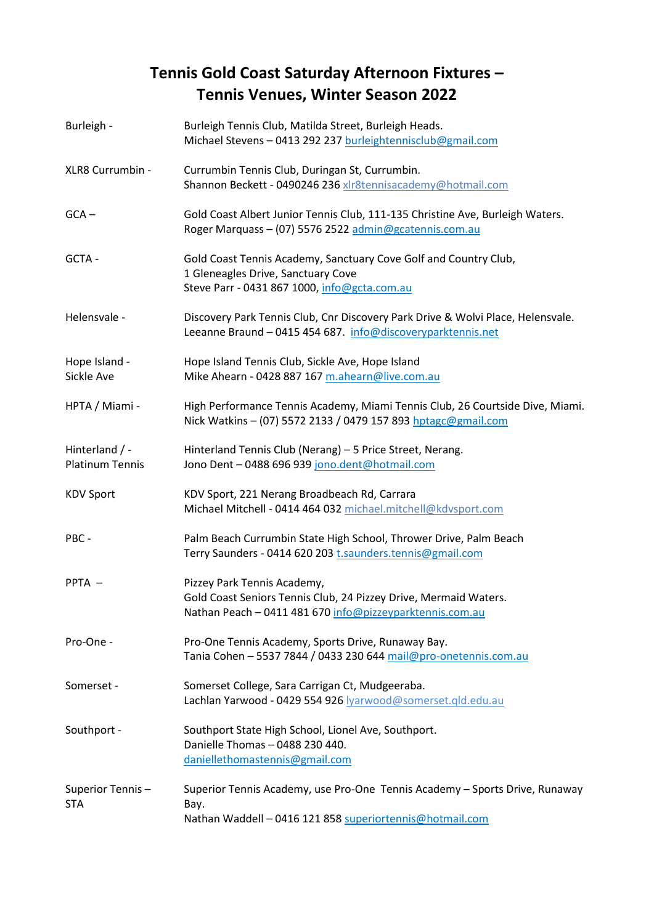## **Tennis Gold Coast Saturday Afternoon Fixtures – Tennis Venues, Winter Season 2022**

| Burleigh -                               | Burleigh Tennis Club, Matilda Street, Burleigh Heads.<br>Michael Stevens - 0413 292 237 burleightennisclub@gmail.com                                        |
|------------------------------------------|-------------------------------------------------------------------------------------------------------------------------------------------------------------|
| XLR8 Currumbin -                         | Currumbin Tennis Club, Duringan St, Currumbin.<br>Shannon Beckett - 0490246 236 xlr8tennisacademy@hotmail.com                                               |
| $GCA -$                                  | Gold Coast Albert Junior Tennis Club, 111-135 Christine Ave, Burleigh Waters.<br>Roger Marquass - (07) 5576 2522 admin@gcatennis.com.au                     |
| GCTA -                                   | Gold Coast Tennis Academy, Sanctuary Cove Golf and Country Club,<br>1 Gleneagles Drive, Sanctuary Cove<br>Steve Parr - 0431 867 1000, info@gcta.com.au      |
| Helensvale -                             | Discovery Park Tennis Club, Cnr Discovery Park Drive & Wolvi Place, Helensvale.<br>Leeanne Braund - 0415 454 687. info@discoveryparktennis.net              |
| Hope Island -<br>Sickle Ave              | Hope Island Tennis Club, Sickle Ave, Hope Island<br>Mike Ahearn - 0428 887 167 m.ahearn@live.com.au                                                         |
| HPTA / Miami -                           | High Performance Tennis Academy, Miami Tennis Club, 26 Courtside Dive, Miami.<br>Nick Watkins - (07) 5572 2133 / 0479 157 893 hptagc@gmail.com              |
| Hinterland / -<br><b>Platinum Tennis</b> | Hinterland Tennis Club (Nerang) - 5 Price Street, Nerang.<br>Jono Dent - 0488 696 939 jono.dent@hotmail.com                                                 |
| <b>KDV Sport</b>                         | KDV Sport, 221 Nerang Broadbeach Rd, Carrara<br>Michael Mitchell - 0414 464 032 michael.mitchell@kdvsport.com                                               |
| PBC-                                     | Palm Beach Currumbin State High School, Thrower Drive, Palm Beach<br>Terry Saunders - 0414 620 203 t.saunders.tennis@gmail.com                              |
| PPTA -                                   | Pizzey Park Tennis Academy,<br>Gold Coast Seniors Tennis Club, 24 Pizzey Drive, Mermaid Waters.<br>Nathan Peach - 0411 481 670 info@pizzeyparktennis.com.au |
| Pro-One -                                | Pro-One Tennis Academy, Sports Drive, Runaway Bay.<br>Tania Cohen - 5537 7844 / 0433 230 644 mail@pro-onetennis.com.au                                      |
| Somerset -                               | Somerset College, Sara Carrigan Ct, Mudgeeraba.<br>Lachlan Yarwood - 0429 554 926 lyarwood@somerset.gld.edu.au                                              |
| Southport -                              | Southport State High School, Lionel Ave, Southport.<br>Danielle Thomas - 0488 230 440.<br>daniellethomastennis@gmail.com                                    |
| Superior Tennis-<br><b>STA</b>           | Superior Tennis Academy, use Pro-One Tennis Academy - Sports Drive, Runaway<br>Bay.<br>Nathan Waddell - 0416 121 858 superiortennis@hotmail.com             |